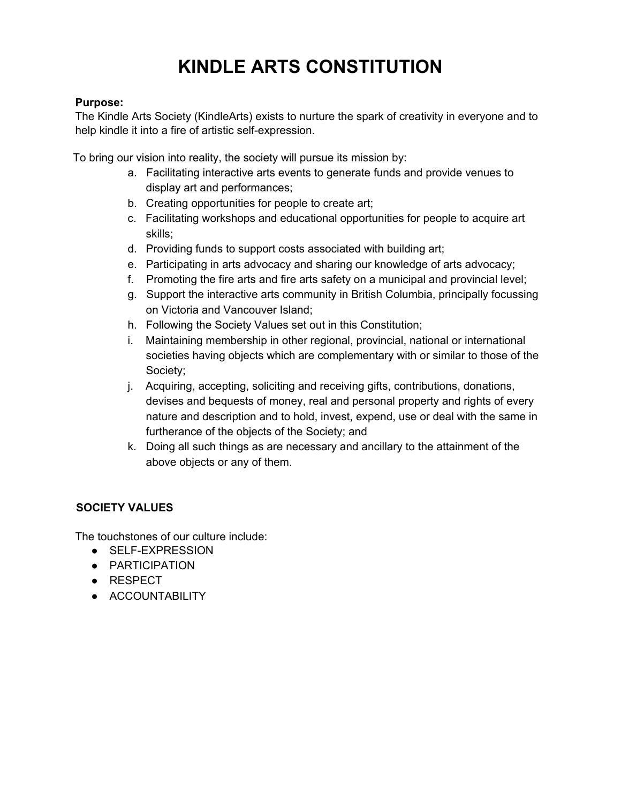# **KINDLE ARTS CONSTITUTION**

### **Purpose:**

The Kindle Arts Society (KindleArts) exists to nurture the spark of creativity in everyone and to help kindle it into a fire of artistic self-expression.

To bring our vision into reality, the society will pursue its mission by:

- a. Facilitating interactive arts events to generate funds and provide venues to display art and performances;
- b. Creating opportunities for people to create art;
- c. Facilitating workshops and educational opportunities for people to acquire art skills;
- d. Providing funds to support costs associated with building art;
- e. Participating in arts advocacy and sharing our knowledge of arts advocacy;
- f. Promoting the fire arts and fire arts safety on a municipal and provincial level;
- g. Support the interactive arts community in British Columbia, principally focussing on Victoria and Vancouver Island;
- h. Following the Society Values set out in this Constitution;
- i. Maintaining membership in other regional, provincial, national or international societies having objects which are complementary with or similar to those of the Society;
- j. Acquiring, accepting, soliciting and receiving gifts, contributions, donations, devises and bequests of money, real and personal property and rights of every nature and description and to hold, invest, expend, use or deal with the same in furtherance of the objects of the Society; and
- k. Doing all such things as are necessary and ancillary to the attainment of the above objects or any of them.

## **SOCIETY VALUES**

The touchstones of our culture include:

- SELF-EXPRESSION
- PARTICIPATION
- RESPECT
- ACCOUNTABILITY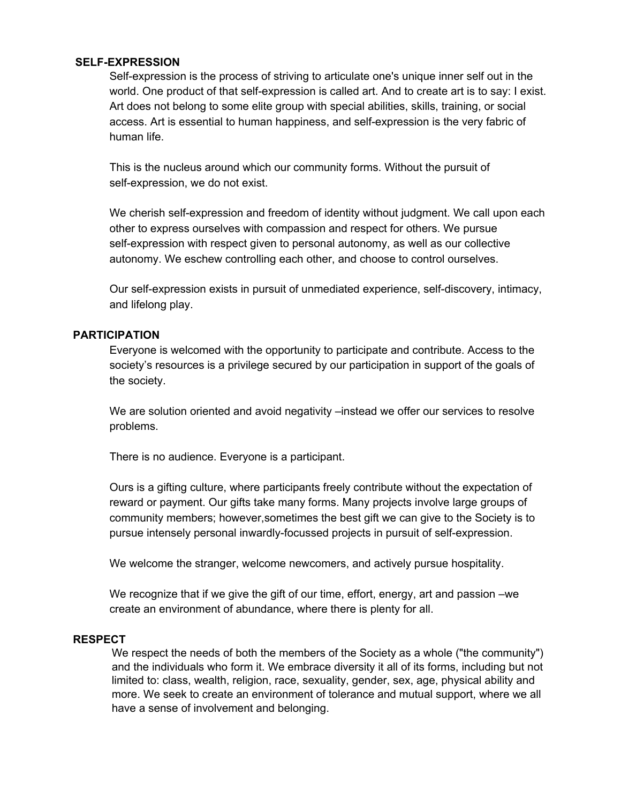#### **SELF-EXPRESSION**

Self-expression is the process of striving to articulate one's unique inner self out in the world. One product of that self-expression is called art. And to create art is to say: I exist. Art does not belong to some elite group with special abilities, skills, training, or social access. Art is essential to human happiness, and self-expression is the very fabric of human life.

This is the nucleus around which our community forms. Without the pursuit of self-expression, we do not exist.

We cherish self-expression and freedom of identity without judgment. We call upon each other to express ourselves with compassion and respect for others. We pursue self-expression with respect given to personal autonomy, as well as our collective autonomy. We eschew controlling each other, and choose to control ourselves.

Our self-expression exists in pursuit of unmediated experience, self-discovery, intimacy, and lifelong play.

#### **PARTICIPATION**

Everyone is welcomed with the opportunity to participate and contribute. Access to the society's resources is a privilege secured by our participation in support of the goals of the society.

We are solution oriented and avoid negativity –instead we offer our services to resolve problems.

There is no audience. Everyone is a participant.

Ours is a gifting culture, where participants freely contribute without the expectation of reward or payment. Our gifts take many forms. Many projects involve large groups of community members; however,sometimes the best gift we can give to the Society is to pursue intensely personal inwardly-focussed projects in pursuit of self-expression.

We welcome the stranger, welcome newcomers, and actively pursue hospitality.

We recognize that if we give the gift of our time, effort, energy, art and passion –we create an environment of abundance, where there is plenty for all.

#### **RESPECT**

We respect the needs of both the members of the Society as a whole ("the community") and the individuals who form it. We embrace diversity it all of its forms, including but not limited to: class, wealth, religion, race, sexuality, gender, sex, age, physical ability and more. We seek to create an environment of tolerance and mutual support, where we all have a sense of involvement and belonging.